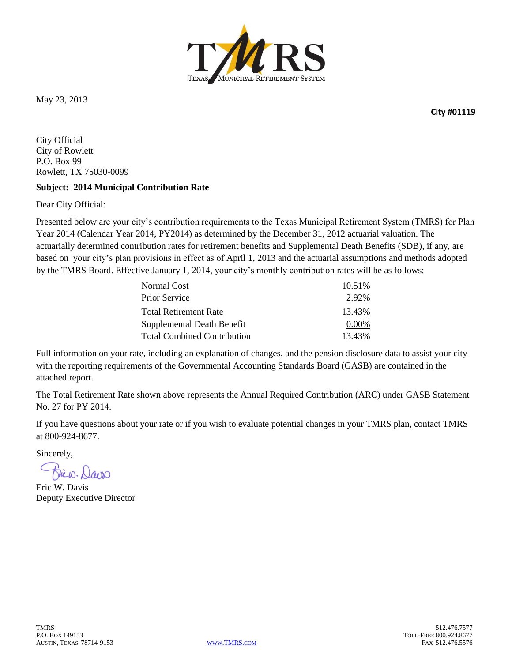

May 23, 2013

**City #01119**

City Official City of Rowlett P.O. Box 99 Rowlett, TX 75030-0099

#### **Subject: 2014 Municipal Contribution Rate**

Dear City Official:

Presented below are your city's contribution requirements to the Texas Municipal Retirement System (TMRS) for Plan Year 2014 (Calendar Year 2014, PY2014) as determined by the December 31, 2012 actuarial valuation. The actuarially determined contribution rates for retirement benefits and Supplemental Death Benefits (SDB), if any, are based on your city's plan provisions in effect as of April 1, 2013 and the actuarial assumptions and methods adopted by the TMRS Board. Effective January 1, 2014, your city's monthly contribution rates will be as follows:

| Normal Cost                        | 10.51%   |
|------------------------------------|----------|
| <b>Prior Service</b>               | 2.92%    |
| <b>Total Retirement Rate</b>       | 13.43%   |
| Supplemental Death Benefit         | $0.00\%$ |
| <b>Total Combined Contribution</b> | 13.43%   |

Full information on your rate, including an explanation of changes, and the pension disclosure data to assist your city with the reporting requirements of the Governmental Accounting Standards Board (GASB) are contained in the attached report.

The Total Retirement Rate shown above represents the Annual Required Contribution (ARC) under GASB Statement No. 27 for PY 2014.

If you have questions about your rate or if you wish to evaluate potential changes in your TMRS plan, contact TMRS at 800-924-8677.

Sincerely,

Jicw. Davis

Eric W. Davis Deputy Executive Director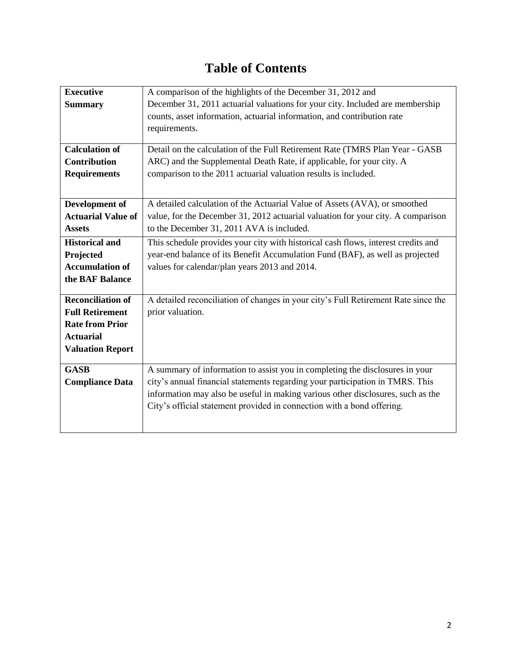# **Table of Contents**

| <b>Executive</b>          | A comparison of the highlights of the December 31, 2012 and                        |
|---------------------------|------------------------------------------------------------------------------------|
| <b>Summary</b>            | December 31, 2011 actuarial valuations for your city. Included are membership      |
|                           | counts, asset information, actuarial information, and contribution rate            |
|                           | requirements.                                                                      |
|                           |                                                                                    |
| <b>Calculation of</b>     | Detail on the calculation of the Full Retirement Rate (TMRS Plan Year - GASB       |
| <b>Contribution</b>       | ARC) and the Supplemental Death Rate, if applicable, for your city. A              |
| <b>Requirements</b>       | comparison to the 2011 actuarial valuation results is included.                    |
|                           |                                                                                    |
| Development of            | A detailed calculation of the Actuarial Value of Assets (AVA), or smoothed         |
| <b>Actuarial Value of</b> | value, for the December 31, 2012 actuarial valuation for your city. A comparison   |
| <b>Assets</b>             | to the December 31, 2011 AVA is included.                                          |
| <b>Historical and</b>     | This schedule provides your city with historical cash flows, interest credits and  |
| Projected                 | year-end balance of its Benefit Accumulation Fund (BAF), as well as projected      |
| <b>Accumulation of</b>    | values for calendar/plan years 2013 and 2014.                                      |
| the BAF Balance           |                                                                                    |
|                           |                                                                                    |
| <b>Reconciliation of</b>  | A detailed reconciliation of changes in your city's Full Retirement Rate since the |
| <b>Full Retirement</b>    | prior valuation.                                                                   |
| <b>Rate from Prior</b>    |                                                                                    |
| <b>Actuarial</b>          |                                                                                    |
| <b>Valuation Report</b>   |                                                                                    |
| <b>GASB</b>               | A summary of information to assist you in completing the disclosures in your       |
| <b>Compliance Data</b>    | city's annual financial statements regarding your participation in TMRS. This      |
|                           | information may also be useful in making various other disclosures, such as the    |
|                           | City's official statement provided in connection with a bond offering.             |
|                           |                                                                                    |
|                           |                                                                                    |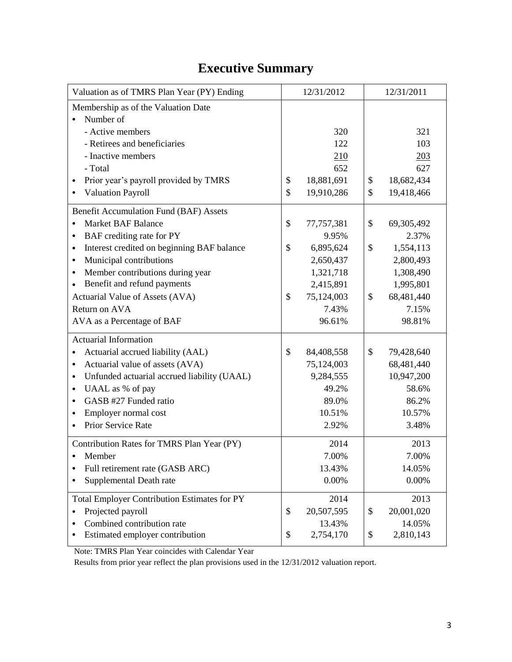# **Executive Summary**

| Valuation as of TMRS Plan Year (PY) Ending          | 12/31/2012       | 12/31/2011       |
|-----------------------------------------------------|------------------|------------------|
| Membership as of the Valuation Date                 |                  |                  |
| Number of                                           |                  |                  |
| - Active members                                    | 320              | 321              |
| - Retirees and beneficiaries                        | 122              | 103              |
| - Inactive members                                  | 210              | 203              |
| - Total                                             | 652              | 627              |
| Prior year's payroll provided by TMRS               | \$<br>18,881,691 | \$<br>18,682,434 |
| <b>Valuation Payroll</b>                            | \$<br>19,910,286 | \$<br>19,418,466 |
| Benefit Accumulation Fund (BAF) Assets              |                  |                  |
| <b>Market BAF Balance</b>                           | \$<br>77,757,381 | \$<br>69,305,492 |
| BAF crediting rate for PY<br>٠                      | 9.95%            | 2.37%            |
| Interest credited on beginning BAF balance<br>٠     | \$<br>6,895,624  | \$<br>1,554,113  |
| Municipal contributions<br>$\bullet$                | 2,650,437        | 2,800,493        |
| Member contributions during year<br>$\bullet$       | 1,321,718        | 1,308,490        |
| Benefit and refund payments<br>$\bullet$            | 2,415,891        | 1,995,801        |
| Actuarial Value of Assets (AVA)                     | \$<br>75,124,003 | \$<br>68,481,440 |
| Return on AVA                                       | 7.43%            | 7.15%            |
| AVA as a Percentage of BAF                          | 96.61%           | 98.81%           |
| <b>Actuarial Information</b>                        |                  |                  |
| Actuarial accrued liability (AAL)                   | \$<br>84,408,558 | \$<br>79,428,640 |
| Actuarial value of assets (AVA)<br>٠                | 75,124,003       | 68,481,440       |
| Unfunded actuarial accrued liability (UAAL)<br>٠    | 9,284,555        | 10,947,200       |
| UAAL as % of pay<br>٠                               | 49.2%            | 58.6%            |
| GASB #27 Funded ratio<br>٠                          | 89.0%            | 86.2%            |
| Employer normal cost<br>$\bullet$                   | 10.51%           | 10.57%           |
| Prior Service Rate                                  | 2.92%            | 3.48%            |
| Contribution Rates for TMRS Plan Year (PY)          | 2014             | 2013             |
| Member                                              | 7.00%            | 7.00%            |
| Full retirement rate (GASB ARC)                     | 13.43%           | 14.05%           |
| Supplemental Death rate                             | 0.00%            | 0.00%            |
| <b>Total Employer Contribution Estimates for PY</b> | 2014             | 2013             |
| Projected payroll<br>٠                              | \$<br>20,507,595 | \$<br>20,001,020 |
| Combined contribution rate<br>٠                     | 13.43%           | 14.05%           |
| Estimated employer contribution                     | \$<br>2,754,170  | \$<br>2,810,143  |

Note: TMRS Plan Year coincides with Calendar Year

Results from prior year reflect the plan provisions used in the 12/31/2012 valuation report.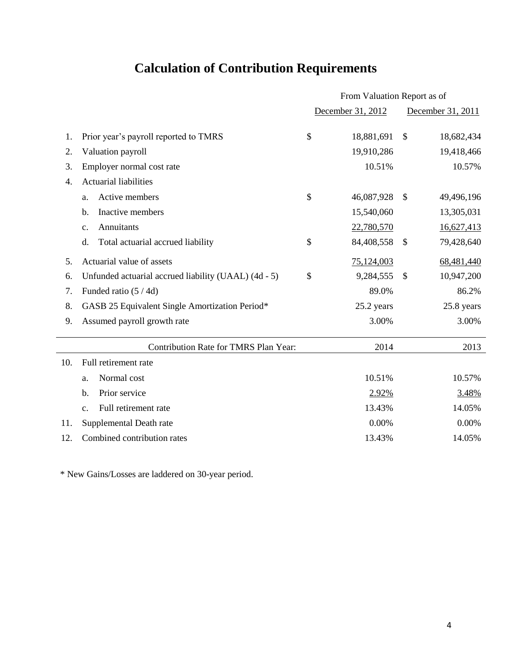# **Calculation of Contribution Requirements**

|                  |                                                      | From Valuation Report as of |                   |               |                   |
|------------------|------------------------------------------------------|-----------------------------|-------------------|---------------|-------------------|
|                  |                                                      |                             | December 31, 2012 |               | December 31, 2011 |
| 1.               | Prior year's payroll reported to TMRS                | \$                          | 18,881,691        | $\mathcal{S}$ | 18,682,434        |
| 2.               | Valuation payroll                                    |                             | 19,910,286        |               | 19,418,466        |
| 3.               | Employer normal cost rate                            |                             | 10.51%            |               | 10.57%            |
| $\overline{4}$ . | <b>Actuarial liabilities</b>                         |                             |                   |               |                   |
|                  | Active members<br>a.                                 | \$                          | 46,087,928        | $\mathcal{S}$ | 49,496,196        |
|                  | Inactive members<br>b.                               |                             | 15,540,060        |               | 13,305,031        |
|                  | Annuitants<br>$\mathbf{c}$ .                         |                             | 22,780,570        |               | 16,627,413        |
|                  | Total actuarial accrued liability<br>d.              | \$                          | 84,408,558        | $\mathcal{S}$ | 79,428,640        |
| 5.               | Actuarial value of assets                            |                             | 75,124,003        |               | 68,481,440        |
| 6.               | Unfunded actuarial accrued liability (UAAL) (4d - 5) | \$                          | 9,284,555         | $\mathcal{S}$ | 10,947,200        |
| 7.               | Funded ratio (5/4d)                                  |                             | 89.0%             |               | 86.2%             |
| 8.               | GASB 25 Equivalent Single Amortization Period*       |                             | 25.2 years        |               | 25.8 years        |
| 9.               | Assumed payroll growth rate                          |                             | 3.00%             |               | 3.00%             |
|                  | Contribution Rate for TMRS Plan Year:                |                             | 2014              |               | 2013              |
| 10.              | Full retirement rate                                 |                             |                   |               |                   |
|                  | Normal cost<br>a.                                    |                             | 10.51%            |               | 10.57%            |
|                  | Prior service<br>$\mathbf{b}$ .                      |                             | 2.92%             |               | 3.48%             |
|                  | Full retirement rate<br>c.                           |                             | 13.43%            |               | 14.05%            |
| 11.              | Supplemental Death rate                              |                             | 0.00%             |               | 0.00%             |
| 12.              | Combined contribution rates                          |                             | 13.43%            |               | 14.05%            |

\* New Gains/Losses are laddered on 30-year period.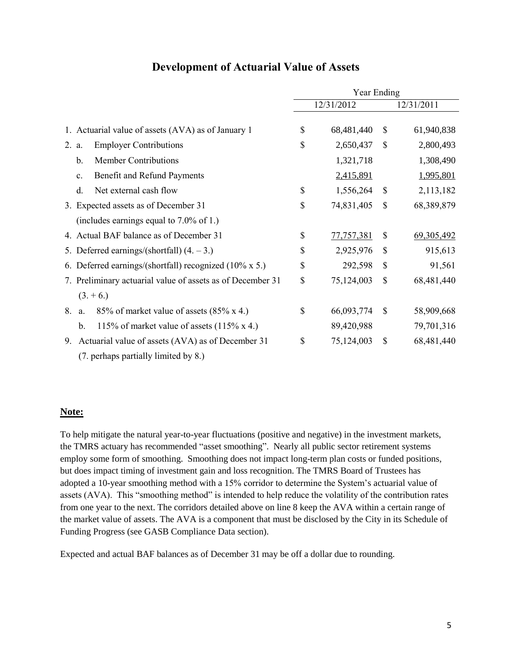|                                                            | Year Ending |            |               |              |
|------------------------------------------------------------|-------------|------------|---------------|--------------|
|                                                            |             | 12/31/2012 |               | 12/31/2011   |
| 1. Actuarial value of assets (AVA) as of January 1         | \$          | 68,481,440 | \$            | 61,940,838   |
| <b>Employer Contributions</b><br>2. a.                     | \$          | 2,650,437  | \$            | 2,800,493    |
| <b>Member Contributions</b><br>$\mathbf b$ .               |             | 1,321,718  |               | 1,308,490    |
| Benefit and Refund Payments<br>$\mathbf{c}$ .              |             | 2,415,891  |               | 1,995,801    |
| Net external cash flow<br>d.                               | \$          | 1,556,264  | \$            | 2,113,182    |
| 3. Expected assets as of December 31                       | \$          | 74,831,405 | \$            | 68,389,879   |
| (includes earnings equal to $7.0\%$ of 1.)                 |             |            |               |              |
| 4. Actual BAF balance as of December 31                    | \$          | 77,757,381 | \$            | 69, 305, 492 |
| 5. Deferred earnings/(shortfall) $(4, -3)$ .)              | \$          | 2,925,976  | $\mathcal{S}$ | 915,613      |
| 6. Deferred earnings/(shortfall) recognized (10% x 5.)     | \$          | 292,598    | $\mathcal{S}$ | 91,561       |
| 7. Preliminary actuarial value of assets as of December 31 | \$          | 75,124,003 | \$            | 68,481,440   |
| $(3. + 6.)$                                                |             |            |               |              |
| 85% of market value of assets (85% x 4.)<br>8.<br>a.       | \$          | 66,093,774 | \$            | 58,909,668   |
| 115% of market value of assets $(115\% \times 4.)$<br>b.   |             | 89,420,988 |               | 79,701,316   |
| Actuarial value of assets (AVA) as of December 31<br>9.    | \$          | 75,124,003 | \$            | 68,481,440   |
| (7. perhaps partially limited by 8.)                       |             |            |               |              |

### **Development of Actuarial Value of Assets**

### **Note:**

To help mitigate the natural year-to-year fluctuations (positive and negative) in the investment markets, the TMRS actuary has recommended "asset smoothing". Nearly all public sector retirement systems employ some form of smoothing. Smoothing does not impact long-term plan costs or funded positions, but does impact timing of investment gain and loss recognition. The TMRS Board of Trustees has adopted a 10-year smoothing method with a 15% corridor to determine the System's actuarial value of assets (AVA). This "smoothing method" is intended to help reduce the volatility of the contribution rates from one year to the next. The corridors detailed above on line 8 keep the AVA within a certain range of the market value of assets. The AVA is a component that must be disclosed by the City in its Schedule of Funding Progress (see GASB Compliance Data section).

Expected and actual BAF balances as of December 31 may be off a dollar due to rounding.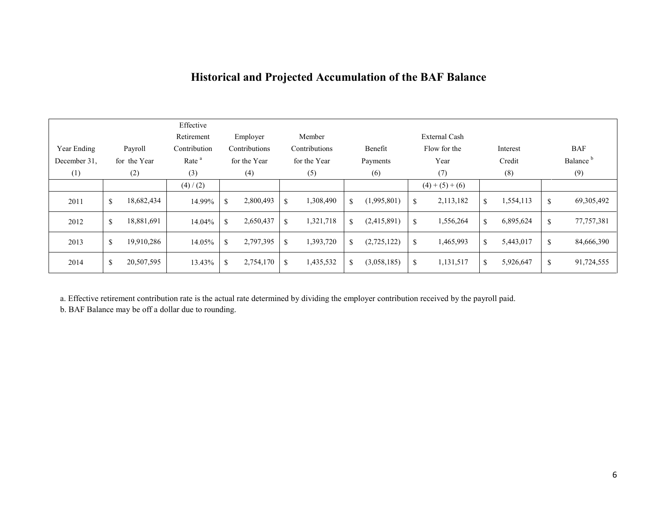## **Historical and Projected Accumulation of the BAF Balance**

|              |                  | Effective         |                            |                            |                                   |                      |                            |                      |
|--------------|------------------|-------------------|----------------------------|----------------------------|-----------------------------------|----------------------|----------------------------|----------------------|
|              |                  | Retirement        | Employer                   | Member                     |                                   | <b>External Cash</b> |                            |                      |
| Year Ending  | Payroll          | Contribution      | Contributions              | Contributions              | Benefit                           | Flow for the         | Interest                   | <b>BAF</b>           |
| December 31. | for the Year     | Rate <sup>a</sup> | for the Year               | for the Year               | Payments                          | Year                 | Credit                     | Balance <sup>b</sup> |
| (1)          | (2)              | (3)               | (4)                        | (5)                        | (6)                               | (7)                  | (8)                        | (9)                  |
|              |                  | (4) / (2)         |                            |                            |                                   | $(4)+(5)+(6)$        |                            |                      |
| 2011         | 18,682,434<br>\$ | 14.99%            | 2,800,493<br><sup>\$</sup> | 1,308,490<br>\$            | (1,995,801)<br>$\mathbf{\hat{S}}$ | 2,113,182<br>\$      | 1,554,113<br>\$            | 69, 305, 492<br>\$   |
| 2012         | 18,881,691<br>\$ | 14.04%            | 2,650,437<br><sup>\$</sup> | 1,321,718<br>\$            | (2,415,891)<br>\$                 | \$<br>1,556,264      | 6,895,624<br><sup>\$</sup> | 77, 757, 381<br>\$   |
| 2013         | 19,910,286<br>\$ | 14.05%            | 2,797,395<br><sup>\$</sup> | 1,393,720<br><sup>\$</sup> | (2,725,122)<br>\$                 | 1,465,993<br>\$      | 5,443,017<br><sup>\$</sup> | 84,666,390<br>\$     |
| 2014         | \$<br>20,507,595 | 13.43%            | 2,754,170<br><sup>\$</sup> | 1,435,532<br><sup>\$</sup> | (3,058,185)<br>\$                 | \$<br>1,131,517      | 5,926,647<br><sup>\$</sup> | 91,724,555<br>\$     |

a. Effective retirement contribution rate is the actual rate determined by dividing the employer contribution received by the payroll paid.

b. BAF Balance may be off a dollar due to rounding.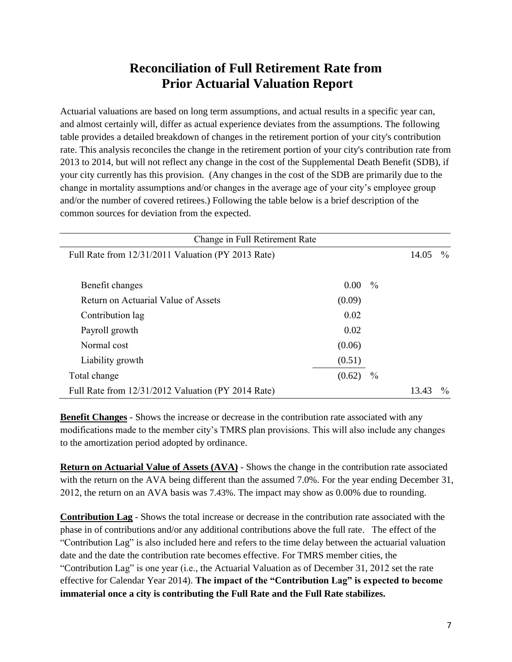## **Reconciliation of Full Retirement Rate from Prior Actuarial Valuation Report**

Actuarial valuations are based on long term assumptions, and actual results in a specific year can, and almost certainly will, differ as actual experience deviates from the assumptions. The following table provides a detailed breakdown of changes in the retirement portion of your city's contribution rate. This analysis reconciles the change in the retirement portion of your city's contribution rate from 2013 to 2014, but will not reflect any change in the cost of the Supplemental Death Benefit (SDB), if your city currently has this provision. (Any changes in the cost of the SDB are primarily due to the change in mortality assumptions and/or changes in the average age of your city's employee group and/or the number of covered retirees.) Following the table below is a brief description of the common sources for deviation from the expected.

| Change in Full Retirement Rate                     |        |               |       |               |
|----------------------------------------------------|--------|---------------|-------|---------------|
| Full Rate from 12/31/2011 Valuation (PY 2013 Rate) |        |               | 14.05 | $\%$          |
|                                                    |        |               |       |               |
| Benefit changes                                    | 0.00   | $\frac{0}{0}$ |       |               |
| Return on Actuarial Value of Assets                | (0.09) |               |       |               |
| Contribution lag                                   | 0.02   |               |       |               |
| Payroll growth                                     | 0.02   |               |       |               |
| Normal cost                                        | (0.06) |               |       |               |
| Liability growth                                   | (0.51) |               |       |               |
| Total change                                       | (0.62) | $\frac{0}{0}$ |       |               |
| Full Rate from 12/31/2012 Valuation (PY 2014 Rate) |        |               | 13.43 | $\frac{0}{0}$ |

**Benefit Changes** - Shows the increase or decrease in the contribution rate associated with any modifications made to the member city's TMRS plan provisions. This will also include any changes to the amortization period adopted by ordinance.

**Return on Actuarial Value of Assets (AVA)** - Shows the change in the contribution rate associated with the return on the AVA being different than the assumed 7.0%. For the year ending December 31, 2012, the return on an AVA basis was 7.43%. The impact may show as 0.00% due to rounding.

**Contribution Lag** - Shows the total increase or decrease in the contribution rate associated with the phase in of contributions and/or any additional contributions above the full rate. The effect of the "Contribution Lag" is also included here and refers to the time delay between the actuarial valuation date and the date the contribution rate becomes effective. For TMRS member cities, the "Contribution Lag" is one year (i.e., the Actuarial Valuation as of December 31, 2012 set the rate effective for Calendar Year 2014). **The impact of the "Contribution Lag" is expected to become immaterial once a city is contributing the Full Rate and the Full Rate stabilizes.**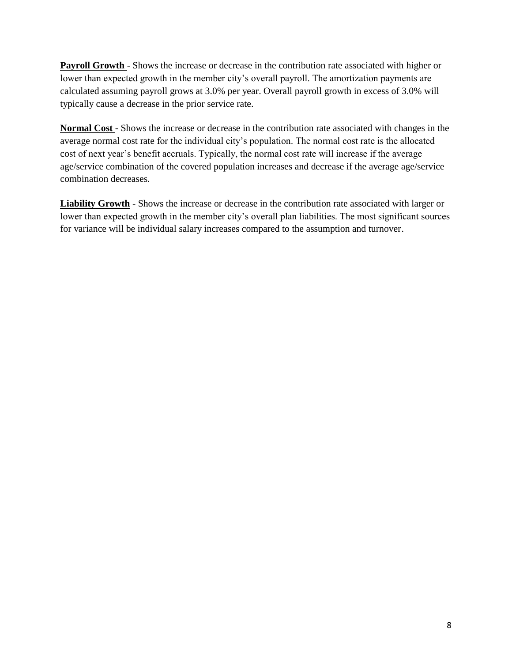**Payroll Growth** - Shows the increase or decrease in the contribution rate associated with higher or lower than expected growth in the member city's overall payroll. The amortization payments are calculated assuming payroll grows at 3.0% per year. Overall payroll growth in excess of 3.0% will typically cause a decrease in the prior service rate.

**Normal Cost** - Shows the increase or decrease in the contribution rate associated with changes in the average normal cost rate for the individual city's population. The normal cost rate is the allocated cost of next year's benefit accruals. Typically, the normal cost rate will increase if the average age/service combination of the covered population increases and decrease if the average age/service combination decreases.

**Liability Growth** - Shows the increase or decrease in the contribution rate associated with larger or lower than expected growth in the member city's overall plan liabilities. The most significant sources for variance will be individual salary increases compared to the assumption and turnover.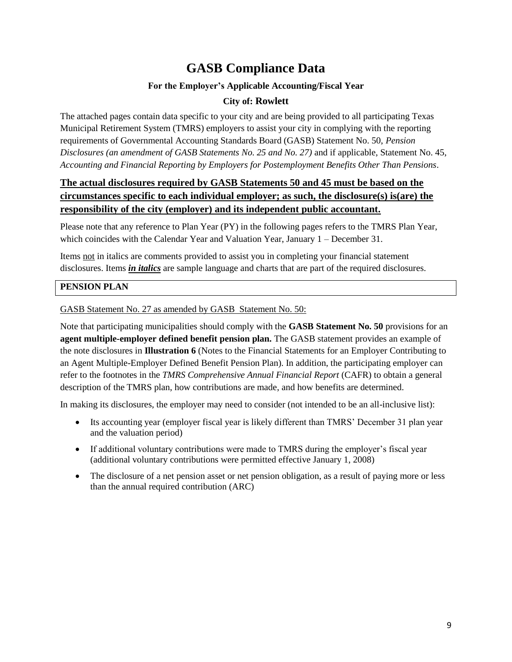## **GASB Compliance Data**

### **For the Employer's Applicable Accounting/Fiscal Year**

### **City of: Rowlett**

The attached pages contain data specific to your city and are being provided to all participating Texas Municipal Retirement System (TMRS) employers to assist your city in complying with the reporting requirements of Governmental Accounting Standards Board (GASB) Statement No. 50, *Pension Disclosures (an amendment of GASB Statements No. 25 and No. 27)* and if applicable, Statement No. 45, *Accounting and Financial Reporting by Employers for Postemployment Benefits Other Than Pensions*.

### **The actual disclosures required by GASB Statements 50 and 45 must be based on the circumstances specific to each individual employer; as such, the disclosure(s) is(are) the responsibility of the city (employer) and its independent public accountant.**

Please note that any reference to Plan Year (PY) in the following pages refers to the TMRS Plan Year, which coincides with the Calendar Year and Valuation Year, January 1 – December 31.

Items not in italics are comments provided to assist you in completing your financial statement disclosures. Items *in italics* are sample language and charts that are part of the required disclosures.

### **PENSION PLAN**

### GASB Statement No. 27 as amended by GASB Statement No. 50:

Note that participating municipalities should comply with the **GASB Statement No. 50** provisions for an **agent multiple-employer defined benefit pension plan.** The GASB statement provides an example of the note disclosures in **Illustration 6** (Notes to the Financial Statements for an Employer Contributing to an Agent Multiple-Employer Defined Benefit Pension Plan). In addition, the participating employer can refer to the footnotes in the *TMRS Comprehensive Annual Financial Report* (CAFR) to obtain a general description of the TMRS plan, how contributions are made, and how benefits are determined.

In making its disclosures, the employer may need to consider (not intended to be an all-inclusive list):

- Its accounting year (employer fiscal year is likely different than TMRS' December 31 plan year and the valuation period)
- If additional voluntary contributions were made to TMRS during the employer's fiscal year (additional voluntary contributions were permitted effective January 1, 2008)
- The disclosure of a net pension asset or net pension obligation, as a result of paying more or less than the annual required contribution (ARC)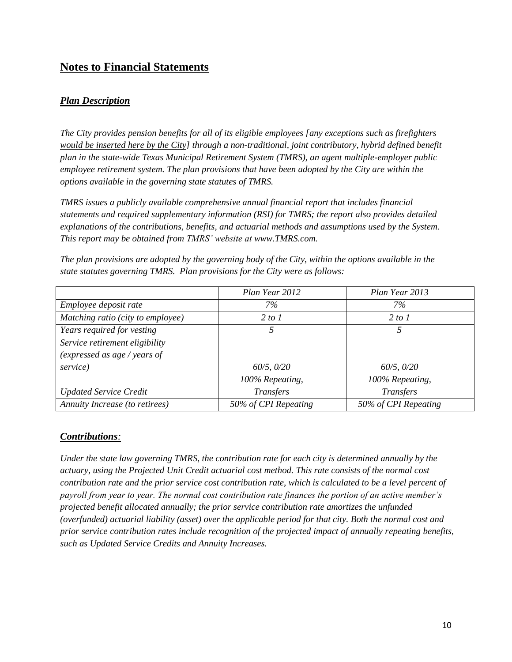### **Notes to Financial Statements**

### *Plan Description*

*The City provides pension benefits for all of its eligible employees [any exceptions such as firefighters would be inserted here by the City] through a non-traditional, joint contributory, hybrid defined benefit plan in the state-wide Texas Municipal Retirement System (TMRS), an agent multiple-employer public employee retirement system. The plan provisions that have been adopted by the City are within the options available in the governing state statutes of TMRS.*

*TMRS issues a publicly available comprehensive annual financial report that includes financial statements and required supplementary information (RSI) for TMRS; the report also provides detailed explanations of the contributions, benefits, and actuarial methods and assumptions used by the System. This report may be obtained from TMRS' website at www.TMRS.com.*

|                                   | Plan Year 2012       | Plan Year 2013       |
|-----------------------------------|----------------------|----------------------|
| Employee deposit rate             | 7%                   | $7\%$                |
| Matching ratio (city to employee) | 2 to 1               | 2 to 1               |
| Years required for vesting        | 5                    | 5                    |
| Service retirement eligibility    |                      |                      |
| (expressed as age / years of      |                      |                      |
| service)                          | 60/5, 0/20           | 60/5, 0/20           |
|                                   | 100% Repeating,      | 100% Repeating,      |
| <b>Updated Service Credit</b>     | <b>Transfers</b>     | <b>Transfers</b>     |
| Annuity Increase (to retirees)    | 50% of CPI Repeating | 50% of CPI Repeating |

*The plan provisions are adopted by the governing body of the City, within the options available in the state statutes governing TMRS. Plan provisions for the City were as follows:*

### *Contributions:*

*Under the state law governing TMRS, the contribution rate for each city is determined annually by the actuary, using the Projected Unit Credit actuarial cost method. This rate consists of the normal cost contribution rate and the prior service cost contribution rate, which is calculated to be a level percent of payroll from year to year. The normal cost contribution rate finances the portion of an active member's projected benefit allocated annually; the prior service contribution rate amortizes the unfunded (overfunded) actuarial liability (asset) over the applicable period for that city. Both the normal cost and prior service contribution rates include recognition of the projected impact of annually repeating benefits, such as Updated Service Credits and Annuity Increases.*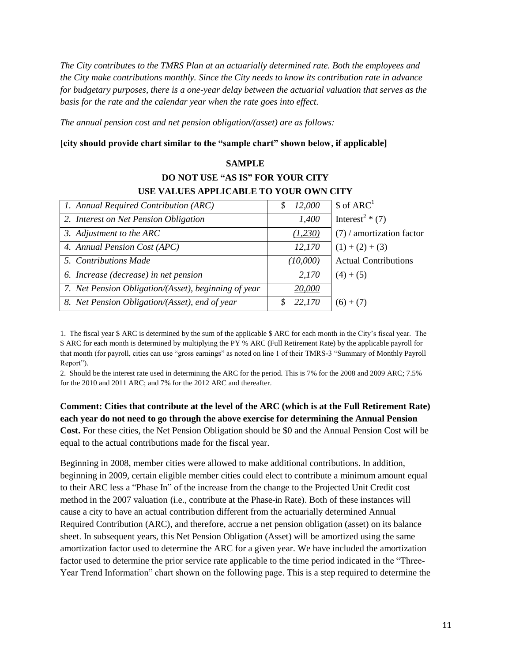*The City contributes to the TMRS Plan at an actuarially determined rate. Both the employees and the City make contributions monthly. Since the City needs to know its contribution rate in advance for budgetary purposes, there is a one-year delay between the actuarial valuation that serves as the basis for the rate and the calendar year when the rate goes into effect.* 

*The annual pension cost and net pension obligation/(asset) are as follows:*

#### **[city should provide chart similar to the "sample chart" shown below, if applicable]**

### **SAMPLE DO NOT USE "AS IS" FOR YOUR CITY USE VALUES APPLICABLE TO YOUR OWN CITY**

| 1. Annual Required Contribution (ARC)                | 12,000<br>S | $$$ of ARC <sup>1</sup>      |
|------------------------------------------------------|-------------|------------------------------|
| 2. Interest on Net Pension Obligation                | 1,400       | Interest <sup>2</sup> $*(7)$ |
| 3. Adjustment to the ARC                             | (1,230)     | $(7)$ / amortization factor  |
| 4. Annual Pension Cost (APC)                         | 12,170      | $(1) + (2) + (3)$            |
| 5. Contributions Made                                | (10,000)    | <b>Actual Contributions</b>  |
| 6. Increase (decrease) in net pension                | 2,170       | $(4) + (5)$                  |
| 7. Net Pension Obligation/(Asset), beginning of year | 20,000      |                              |
| 8. Net Pension Obligation/(Asset), end of year       | 22,170      | $(6) + (7)$                  |

1. The fiscal year \$ ARC is determined by the sum of the applicable \$ ARC for each month in the City's fiscal year. The \$ ARC for each month is determined by multiplying the PY % ARC (Full Retirement Rate) by the applicable payroll for that month (for payroll, cities can use "gross earnings" as noted on line 1 of their TMRS-3 "Summary of Monthly Payroll Report").

2. Should be the interest rate used in determining the ARC for the period. This is 7% for the 2008 and 2009 ARC; 7.5% for the 2010 and 2011 ARC; and 7% for the 2012 ARC and thereafter.

**Comment: Cities that contribute at the level of the ARC (which is at the Full Retirement Rate) each year do not need to go through the above exercise for determining the Annual Pension Cost.** For these cities, the Net Pension Obligation should be \$0 and the Annual Pension Cost will be equal to the actual contributions made for the fiscal year.

Beginning in 2008, member cities were allowed to make additional contributions. In addition, beginning in 2009, certain eligible member cities could elect to contribute a minimum amount equal to their ARC less a "Phase In" of the increase from the change to the Projected Unit Credit cost method in the 2007 valuation (i.e., contribute at the Phase-in Rate). Both of these instances will cause a city to have an actual contribution different from the actuarially determined Annual Required Contribution (ARC), and therefore, accrue a net pension obligation (asset) on its balance sheet. In subsequent years, this Net Pension Obligation (Asset) will be amortized using the same amortization factor used to determine the ARC for a given year. We have included the amortization factor used to determine the prior service rate applicable to the time period indicated in the "Three-Year Trend Information" chart shown on the following page. This is a step required to determine the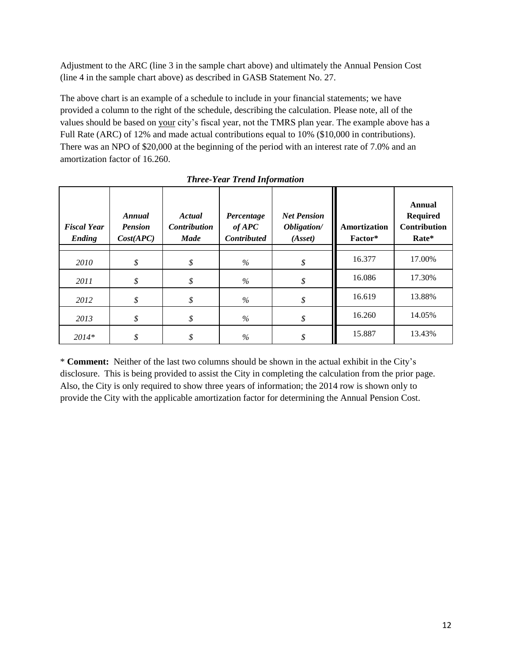Adjustment to the ARC (line 3 in the sample chart above) and ultimately the Annual Pension Cost (line 4 in the sample chart above) as described in GASB Statement No. 27.

The above chart is an example of a schedule to include in your financial statements; we have provided a column to the right of the schedule, describing the calculation. Please note, all of the values should be based on your city's fiscal year, not the TMRS plan year. The example above has a Full Rate (ARC) of 12% and made actual contributions equal to 10% (\$10,000 in contributions). There was an NPO of \$20,000 at the beginning of the period with an interest rate of 7.0% and an amortization factor of 16.260.

| <b>Fiscal Year</b><br>Ending | Annual<br><b>Pension</b><br>Cost(APC) | Actual<br><b>Contribution</b><br><b>Made</b> | Percentage<br>$of$ APC<br><b>Contributed</b> | <b>Net Pension</b><br>Obligation/<br>(Asset) | Amortization<br>Factor* | <b>Annual</b><br><b>Required</b><br><b>Contribution</b><br>Rate* |
|------------------------------|---------------------------------------|----------------------------------------------|----------------------------------------------|----------------------------------------------|-------------------------|------------------------------------------------------------------|
| 2010                         | \$                                    | \$                                           | $\%$                                         | \$                                           | 16.377                  | 17.00%                                                           |
| 2011                         | \$                                    | \$                                           | $\%$                                         | \$                                           | 16.086                  | 17.30%                                                           |
| 2012                         | \$                                    | \$                                           | %                                            | \$                                           | 16.619                  | 13.88%                                                           |
| 2013                         | \$                                    | \$                                           | $\%$                                         | \$                                           | 16.260                  | 14.05%                                                           |
| $2014*$                      | \$                                    | \$                                           | $\%$                                         | \$                                           | 15.887                  | 13.43%                                                           |

*Three-Year Trend Information*

\* **Comment:** Neither of the last two columns should be shown in the actual exhibit in the City's disclosure. This is being provided to assist the City in completing the calculation from the prior page. Also, the City is only required to show three years of information; the 2014 row is shown only to provide the City with the applicable amortization factor for determining the Annual Pension Cost.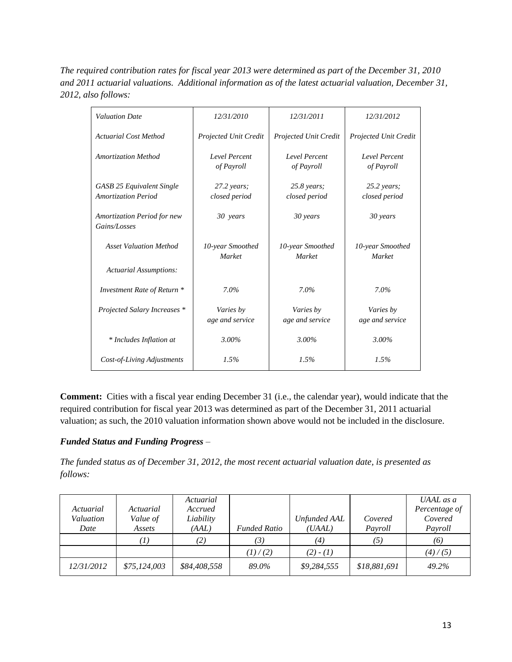*The required contribution rates for fiscal year 2013 were determined as part of the December 31, 2010 and 2011 actuarial valuations. Additional information as of the latest actuarial valuation, December 31, 2012, also follows:*

| <b>Valuation Date</b>                                          | 12/31/2010                            | 12/31/2011                         | 12/31/2012                            |
|----------------------------------------------------------------|---------------------------------------|------------------------------------|---------------------------------------|
| <b>Actuarial Cost Method</b>                                   | Projected Unit Credit                 | <b>Projected Unit Credit</b>       | Projected Unit Credit                 |
| <b>Amortization Method</b>                                     | Level Percent<br>of Payroll           | <b>Level Percent</b><br>of Payroll | Level Percent<br>of Payroll           |
| <b>GASB 25 Equivalent Single</b><br><b>Amortization Period</b> | $27.2 \text{ years}$<br>closed period | $25.8$ years;<br>closed period     | $25.2 \text{ years}$<br>closed period |
| <b>Amortization Period for new</b><br>Gains/Losses             | 30 years                              | 30 years                           | 30 years                              |
| <b>Asset Valuation Method</b>                                  | 10-year Smoothed<br>Market            | 10-year Smoothed<br><b>Market</b>  | 10-year Smoothed<br>Market            |
| <b>Actuarial Assumptions:</b>                                  |                                       |                                    |                                       |
| Investment Rate of Return *                                    | $7.0\%$                               | $7.0\%$                            | $7.0\%$                               |
| Projected Salary Increases *                                   | Varies by<br>age and service          | Varies by<br>age and service       | Varies by<br>age and service          |
| * Includes Inflation at                                        | 3.00%                                 | 3.00%                              | 3.00%                                 |
| Cost-of-Living Adjustments                                     | 1.5%                                  | 1.5%                               | 1.5%                                  |

**Comment:** Cities with a fiscal year ending December 31 (i.e., the calendar year), would indicate that the required contribution for fiscal year 2013 was determined as part of the December 31, 2011 actuarial valuation; as such, the 2010 valuation information shown above would not be included in the disclosure.

### *Funded Status and Funding Progress –*

*The funded status as of December 31, 2012, the most recent actuarial valuation date, is presented as follows:*

| Actuarial<br>Valuation<br>Date | Actuarial<br>Value of<br>Assets | Actuarial<br>Accrued<br>Liability<br>(AAL) | <b>Funded Ratio</b> | <b>Unfunded AAL</b><br>(UAAL) | Covered<br>Payroll | UAAL as a<br>Percentage of<br>Covered<br>Payroll |
|--------------------------------|---------------------------------|--------------------------------------------|---------------------|-------------------------------|--------------------|--------------------------------------------------|
|                                |                                 | (2)                                        | (3)                 | (4)                           | (5)                | (6)                                              |
|                                |                                 |                                            | (1)/(2)             | $(2) - (1)$                   |                    | (4)/(5)                                          |
| <i>12/31/2012</i>              | \$75,124,003                    | \$84,408,558                               | 89.0%               | \$9,284,555                   | \$18,881,691       | 49.2%                                            |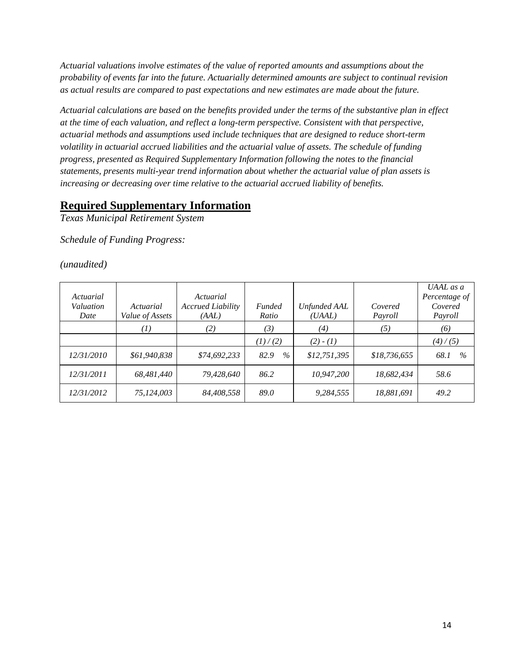*Actuarial valuations involve estimates of the value of reported amounts and assumptions about the probability of events far into the future. Actuarially determined amounts are subject to continual revision as actual results are compared to past expectations and new estimates are made about the future.*

*Actuarial calculations are based on the benefits provided under the terms of the substantive plan in effect at the time of each valuation, and reflect a long-term perspective. Consistent with that perspective, actuarial methods and assumptions used include techniques that are designed to reduce short-term volatility in actuarial accrued liabilities and the actuarial value of assets. The schedule of funding progress, presented as Required Supplementary Information following the notes to the financial statements, presents multi-year trend information about whether the actuarial value of plan assets is increasing or decreasing over time relative to the actuarial accrued liability of benefits.*

### **Required Supplementary Information**

*Texas Municipal Retirement System*

*Schedule of Funding Progress:*

*(unaudited)*

| Actuarial<br>Valuation<br>Date | Actuarial<br>Value of Assets | Actuarial<br><b>Accrued Liability</b><br>(AAL) | <b>Funded</b><br>Ratio | <b>Unfunded AAL</b><br>(UAAL) | Covered<br>Payroll | UAAL as a<br>Percentage of<br>Covered<br>Payroll |
|--------------------------------|------------------------------|------------------------------------------------|------------------------|-------------------------------|--------------------|--------------------------------------------------|
|                                | (1)                          | (2)                                            | (3)                    | (4)                           | (5)                | (6)                                              |
|                                |                              |                                                | (1) / (2)              | $(2) - (1)$                   |                    | (4)/(5)                                          |
| 12/31/2010                     | \$61,940,838                 | \$74,692,233                                   | 82.9<br>$\%$           | \$12,751,395                  | \$18,736,655       | $\%$<br>68.1                                     |
| 12/31/2011                     | 68.481.440                   | 79,428,640                                     | 86.2                   | 10,947,200                    | 18,682,434         | 58.6                                             |
| 12/31/2012                     | 75,124,003                   | 84,408,558                                     | 89.0                   | 9,284,555                     | 18,881,691         | 49.2                                             |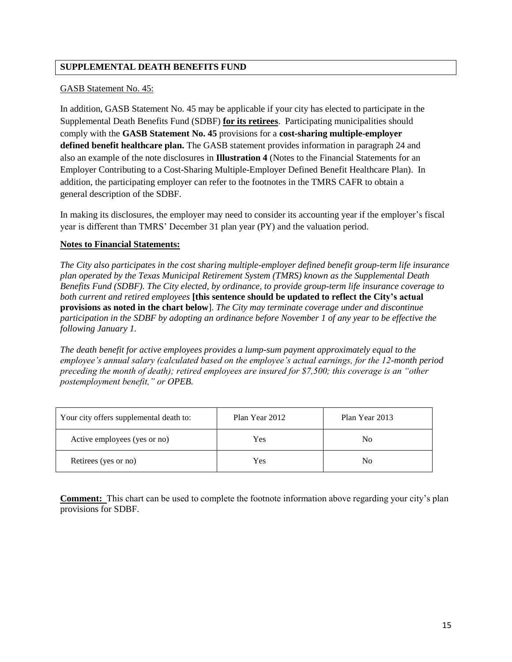### **SUPPLEMENTAL DEATH BENEFITS FUND**

#### GASB Statement No. 45:

In addition, GASB Statement No. 45 may be applicable if your city has elected to participate in the Supplemental Death Benefits Fund (SDBF) **for its retirees**. Participating municipalities should comply with the **GASB Statement No. 45** provisions for a **cost-sharing multiple-employer defined benefit healthcare plan.** The GASB statement provides information in paragraph 24 and also an example of the note disclosures in **Illustration 4** (Notes to the Financial Statements for an Employer Contributing to a Cost-Sharing Multiple-Employer Defined Benefit Healthcare Plan). In addition, the participating employer can refer to the footnotes in the TMRS CAFR to obtain a general description of the SDBF.

In making its disclosures, the employer may need to consider its accounting year if the employer's fiscal year is different than TMRS' December 31 plan year (PY) and the valuation period.

### **Notes to Financial Statements:**

*The City also participates in the cost sharing multiple-employer defined benefit group-term life insurance plan operated by the Texas Municipal Retirement System (TMRS) known as the Supplemental Death Benefits Fund (SDBF). The City elected, by ordinance, to provide group-term life insurance coverage to both current and retired employees* **[this sentence should be updated to reflect the City's actual provisions as noted in the chart below**]. *The City may terminate coverage under and discontinue participation in the SDBF by adopting an ordinance before November 1 of any year to be effective the following January 1.*

*The death benefit for active employees provides a lump-sum payment approximately equal to the employee's annual salary (calculated based on the employee's actual earnings, for the 12-month period preceding the month of death); retired employees are insured for \$7,500; this coverage is an "other postemployment benefit," or OPEB.* 

| Your city offers supplemental death to: | Plan Year 2012 | Plan Year 2013 |
|-----------------------------------------|----------------|----------------|
| Active employees (yes or no)            | Yes            | No             |
| Retirees (yes or no)                    | Yes            | No             |

**Comment:** This chart can be used to complete the footnote information above regarding your city's plan provisions for SDBF.